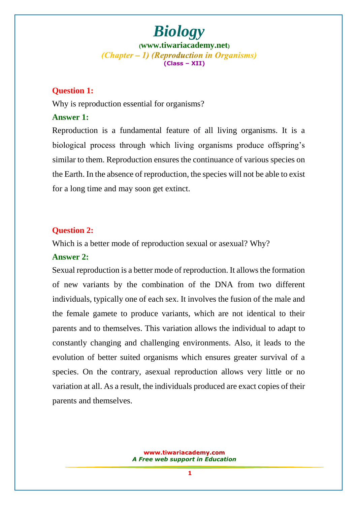## *Biology*

**([www.tiwariacademy.net](http://www.tiwariacademy.net/))** (Chapter – 1) (Reproduction in Organisms) **(Class – XII)**

#### **Question 1:**

Why is reproduction essential for organisms?

#### **Answer 1:**

Reproduction is a fundamental feature of all living organisms. It is a biological process through which living organisms produce offspring's similar to them. Reproduction ensures the continuance of various species on the Earth. In the absence of reproduction, the species will not be able to exist for a long time and may soon get extinct.

#### **Question 2:**

Which is a better mode of reproduction sexual or asexual? Why?

#### **Answer 2:**

Sexual reproduction is a better mode of reproduction. It allows the formation of new variants by the combination of the DNA from two different individuals, typically one of each sex. It involves the fusion of the male and the female gamete to produce variants, which are not identical to their parents and to themselves. This variation allows the individual to adapt to constantly changing and challenging environments. Also, it leads to the evolution of better suited organisms which ensures greater survival of a species. On the contrary, asexual reproduction allows very little or no variation at all. As a result, the individuals produced are exact copies of their parents and themselves.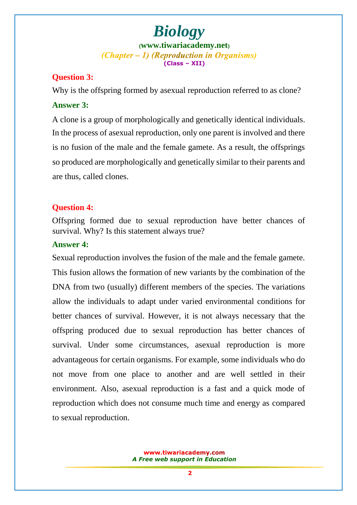#### **Question 3:**

Why is the offspring formed by asexual reproduction referred to as clone? **Answer 3:**

A clone is a group of morphologically and genetically identical individuals. In the process of asexual reproduction, only one parent is involved and there is no fusion of the male and the female gamete. As a result, the offsprings so produced are morphologically and genetically similar to their parents and are thus, called clones.

#### **Question 4:**

Offspring formed due to sexual reproduction have better chances of survival. Why? Is this statement always true?

#### **Answer 4:**

Sexual reproduction involves the fusion of the male and the female gamete. This fusion allows the formation of new variants by the combination of the DNA from two (usually) different members of the species. The variations allow the individuals to adapt under varied environmental conditions for better chances of survival. However, it is not always necessary that the offspring produced due to sexual reproduction has better chances of survival. Under some circumstances, asexual reproduction is more advantageous for certain organisms. For example, some individuals who do not move from one place to another and are well settled in their environment. Also, asexual reproduction is a fast and a quick mode of reproduction which does not consume much time and energy as compared to sexual reproduction.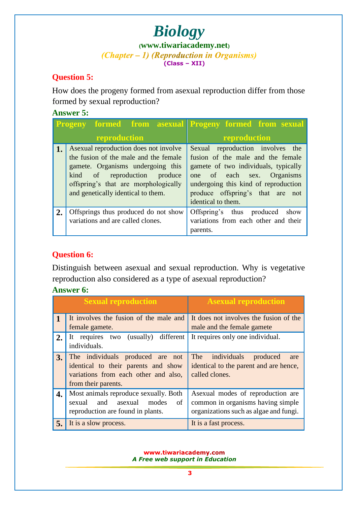## *Biology* (*Chapter – 1***) (***Reproduction in Organisms***) (Class – XII)**

## **Question 5:**

How does the progeny formed from asexual reproduction differ from those formed by sexual reproduction?

#### **Answer 5:**

|    | <b>Progeny</b>                                                                                                                                                                                                                     | <b>Example 15 Inches</b> formed from sexual formed from sexual                                                                                                                                                                                |
|----|------------------------------------------------------------------------------------------------------------------------------------------------------------------------------------------------------------------------------------|-----------------------------------------------------------------------------------------------------------------------------------------------------------------------------------------------------------------------------------------------|
|    | reproduction                                                                                                                                                                                                                       | reproduction                                                                                                                                                                                                                                  |
| 1. | As exual reproduction does not involve<br>the fusion of the male and the female<br>gamete. Organisms undergoing this<br>kind of reproduction produce<br>offspring's that are morphologically<br>and genetically identical to them. | Sexual reproduction involves the<br>fusion of the male and the female<br>gamete of two individuals, typically<br>one of each sex. Organisms<br>undergoing this kind of reproduction<br>produce offspring's that are not<br>identical to them. |
| 2. | Offsprings thus produced do not show<br>variations and are called clones.                                                                                                                                                          | Offspring's thus produced<br>show<br>variations from each other and their<br>parents.                                                                                                                                                         |

## **Question 6:**

Distinguish between asexual and sexual reproduction. Why is vegetative reproduction also considered as a type of asexual reproduction?

## **Answer 6:**

|    | <b>Sexual reproduction</b>                                                                                                             | <b>Asexual reproduction</b>                                                                                       |
|----|----------------------------------------------------------------------------------------------------------------------------------------|-------------------------------------------------------------------------------------------------------------------|
|    | It involves the fusion of the male and<br>female gamete.                                                                               | It does not involves the fusion of the<br>male and the female gamete                                              |
| 2. | different<br>(usually)<br>It requires two<br>individuals.                                                                              | It requires only one individual.                                                                                  |
| 3. | The individuals produced are not<br>identical to their parents and show<br>variations from each other and also,<br>from their parents. | The individuals<br>produced<br>are<br>identical to the parent and are hence,<br>called clones.                    |
| 4. | Most animals reproduce sexually. Both<br>of<br>and asexual<br>sexual<br>modes<br>reproduction are found in plants.                     | As exual modes of reproduction are<br>common in organisms having simple<br>organizations such as algae and fungi. |
| 5. | It is a slow process.                                                                                                                  | It is a fast process.                                                                                             |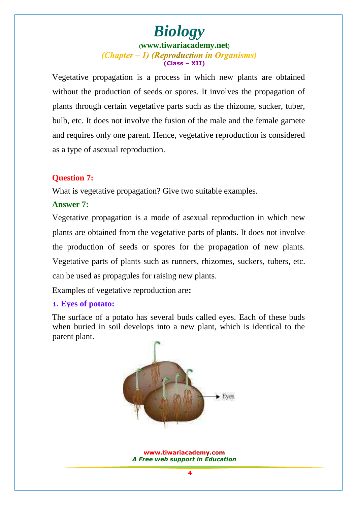Vegetative propagation is a process in which new plants are obtained without the production of seeds or spores. It involves the propagation of plants through certain vegetative parts such as the rhizome, sucker, tuber, bulb, etc. It does not involve the fusion of the male and the female gamete and requires only one parent. Hence, vegetative reproduction is considered as a type of asexual reproduction.

#### **Question 7:**

What is vegetative propagation? Give two suitable examples.

#### **Answer 7:**

Vegetative propagation is a mode of asexual reproduction in which new plants are obtained from the vegetative parts of plants. It does not involve the production of seeds or spores for the propagation of new plants. Vegetative parts of plants such as runners, rhizomes, suckers, tubers, etc. can be used as propagules for raising new plants.

Examples of vegetative reproduction are**:**

#### **1. Eyes of potato:**

The surface of a potat[o has seve](www.tiwariacademy.com)ral buds called eyes. Each of these buds when buried in soil develops into a new plant, which is identical to the parent plant.

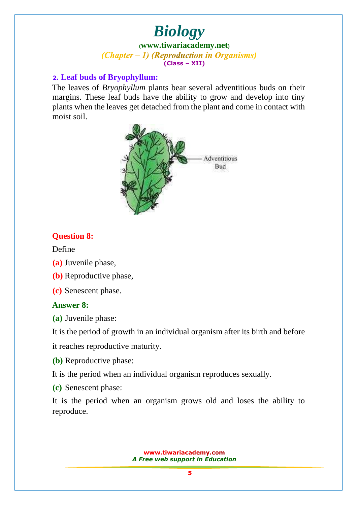# *Biology*

**([www.tiwariacademy.net](http://www.tiwariacademy.net/))** (Chapter – 1) (Reproduction in Organisms) **(Class – XII)**

#### **2. Leaf buds of Bryophyllum:**

The leaves of *Bryophyllum* plants bear several adventitious buds on their margins. These leaf buds have the ability to grow and develop into tiny plants when the leaves get detached from the plant and come in contact with moist soil.



#### **Question 8:**

Define

- **(a)** Juvenile phase,
- **(b)** Reproductive phase,

**(c)** Senescent phase.

#### **Answer 8:**

**(a)** Juvenile phase:

It is the period of growth in an individual organism after its birth and before

it reaches reproductive maturity.

**(b)** Reproductive phase:

It is the period when an individual organism reproduces sexually.

**(c)** Senescent phase:

It is the period when an organism grows old and loses the ability to reproduce.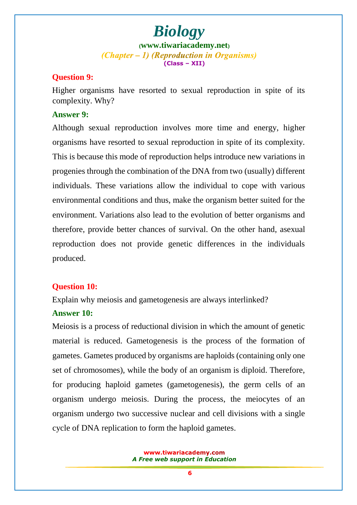#### **Question 9:**

Higher organisms have resorted to sexual reproduction in spite of its complexity. Why?

#### **Answer 9:**

Although sexual reproduction involves more time and energy, higher organisms have resorted to sexual reproduction in spite of its complexity. This is because this mode of reproduction helps introduce new variations in progenies through the combination of the DNA from two (usually) different individuals. These variations allow the individual to cope with various environmental conditions and thus, make the organism better suited for the environment. Variations also lead to the evolution of better organisms and therefore, provide better chances of survival. On the other hand, asexual reproduction does not provide genetic differences in the individuals produced.

#### **Question 10:**

Explain why meiosis and gametogenesis are always interlinked?

#### **Answer 10:**

Meiosis is a process of reductional division in which the amount of genetic material is reduced. Gametogenesis is the process of the formation of gametes. Gametes produced by organisms are haploids (containing only one set of chromosomes), while the body of an organism is diploid. Therefore, for producing haploid gametes (gametogenesis), the germ cells of an organism undergo meiosis. During the process, the meiocytes of an organism undergo two successive nuclear and cell divisions with a single cycle of DNA replication to form the haploid gametes.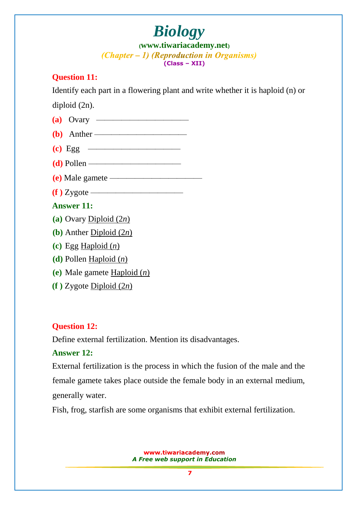# *Biology*

**([www.tiwariacademy.net](http://www.tiwariacademy.net/))** (Chapter – 1) (Reproduction in Organisms) **(Class – XII)**

## **Question 11:**

Identify each part in a flowering plant and write whether it is haploid (n) or

diploid (2n).

| $(a)$ Ovary ———————————                                     |
|-------------------------------------------------------------|
| $(b)$ Anther                                                |
| $\left( \textbf{c} \right)$ Egg $\left( \textbf{c} \right)$ |
| $(d)$ Pollen                                                |
| $(e)$ Male gamete ————————————————————                      |
|                                                             |
| <b>Answer 11:</b>                                           |
| (a) Ovary Diploid $(2n)$                                    |
| (b) Anther Diploid $(2n)$                                   |
| (c) Egg Haploid $(n)$                                       |
| (d) Pollen Haploid $(n)$                                    |
| (e) Male gamete $\underline{Haploid}(n)$                    |
| $(f)$ Zygote Diploid $(2n)$                                 |

## **Question 12:**

Define external fertilization. Mention its disadvantages.

## **Answer 12:**

External fertilization is the process in which the fusion of the male and the female gamete takes place outside the female body in an external medium, generally water.

Fish, frog, starfish are some organisms that exhibit external fertilization.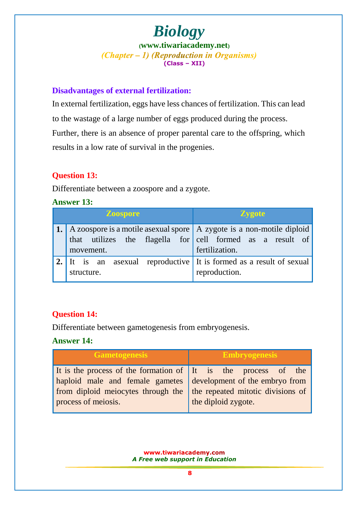#### **Disadvantages of external fertilization:**

In external fertilization, eggs have less chances of fertilization. This can lead to the wastage of a large number of eggs produced during the process. Further, there is an absence of proper parental care to the offspring, which results in a low rate of survival in the progenies.

## **Question 13:**

Differentiate between a zoospore and a zygote.

**Answer 13:**

| <b>Zoospore</b>                                                                                                                                                    | <b>Zygote</b>  |
|--------------------------------------------------------------------------------------------------------------------------------------------------------------------|----------------|
| <b>1.</b> A zoospore is a motile as exual spore $\vert$ A zygote is a non-motile diploid<br>that utilizes the flagella for cell formed as a result of<br>movement. | fertilization. |
| 2. It is an asexual reproductive It is formed as a result of sexual<br>structure.                                                                                  | reproduction.  |

## **Question 14:**

Differentiate between gametogenesis from embryogenesis.

## **Answer 14:**

| <b>Gametogenesis</b>                                                                                                                                                                          | <b>Embryogenesis</b>                                     |
|-----------------------------------------------------------------------------------------------------------------------------------------------------------------------------------------------|----------------------------------------------------------|
| It is the process of the formation of It is the process of the<br>haploid male and female gametes development of the embryo from<br>from diploid meiocytes through the<br>process of meiosis. | the repeated mitotic divisions of<br>the diploid zygote. |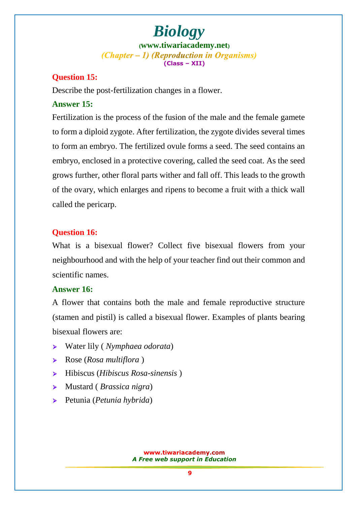## **Question 15:**

Describe the post-fertilization changes in a flower.

#### **Answer 15:**

Fertilization is the process of the fusion of the male and the female gamete to form a diploid zygote. After fertilization, the zygote divides several times to form an embryo. The fertilized ovule forms a seed. The seed contains an embryo, enclosed in a protective covering, called the seed coat. As the seed grows further, other floral parts wither and fall off. This leads to the growth of the ovary, which enlarges and ripens to become a fruit with a thick wall called the pericarp.

## **Question 16:**

What is a bisexual flower? Collect five bisexual flowers from your neighbourhood and with the help of your teacher find out their common and scientific names.

#### **Answer 16:**

A flower that contains both the male and female reproductive structure (stamen and pistil) is called a bisexual flower. Examples of plants bearing bisexual flowers are:

- Water lily ( *Nymphaea odorata*)
- Rose (*Rosa multiflora* )
- Hibiscus (*Hibiscus Rosa-sinensis* )
- Mustard ( *Brassica nigra*)
- Petunia (*Petunia hybrida*)